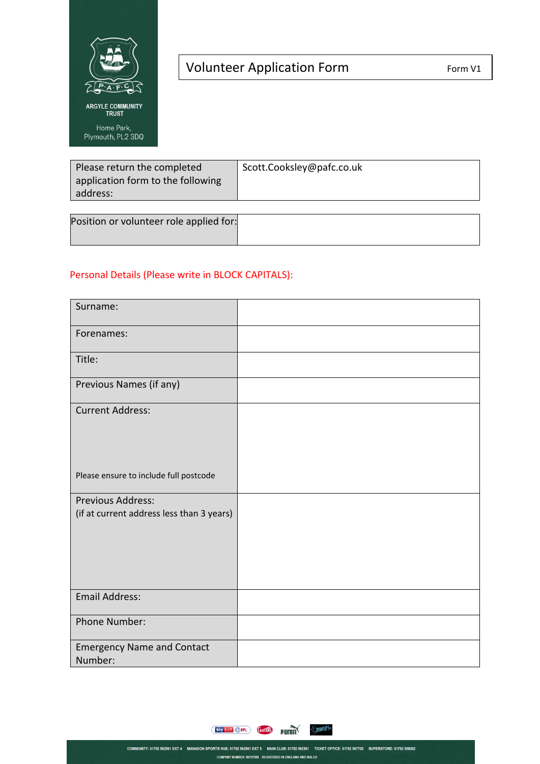

## Volunteer Application Form 1 Form V1

| Please return the completed       | Scott.Cooksley@pafc.co.uk |
|-----------------------------------|---------------------------|
| application form to the following |                           |
| address:                          |                           |
|                                   |                           |

| Position or volunteer role applied for: |  |
|-----------------------------------------|--|
|                                         |  |

## Personal Details (Please write in BLOCK CAPITALS):

| Surname:                                                       |  |
|----------------------------------------------------------------|--|
| Forenames:                                                     |  |
| Title:                                                         |  |
| Previous Names (if any)                                        |  |
| <b>Current Address:</b>                                        |  |
| Please ensure to include full postcode                         |  |
| Previous Address:<br>(if at current address less than 3 years) |  |
| <b>Email Address:</b>                                          |  |
| Phone Number:                                                  |  |
| <b>Emergency Name and Contact</b><br>Number:                   |  |

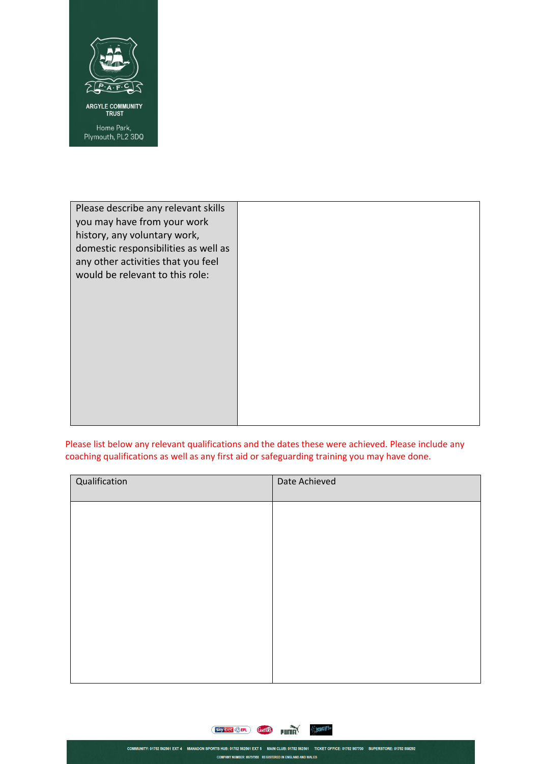

| Please describe any relevant skills<br>you may have from your work<br>history, any voluntary work,<br>domestic responsibilities as well as<br>any other activities that you feel<br>would be relevant to this role: |  |
|---------------------------------------------------------------------------------------------------------------------------------------------------------------------------------------------------------------------|--|
|                                                                                                                                                                                                                     |  |

Please list below any relevant qualifications and the dates these were achieved. Please include any coaching qualifications as well as any first aid or safeguarding training you may have done.

| Qualification | Date Achieved |
|---------------|---------------|
|               |               |
|               |               |
|               |               |
|               |               |
|               |               |
|               |               |
|               |               |



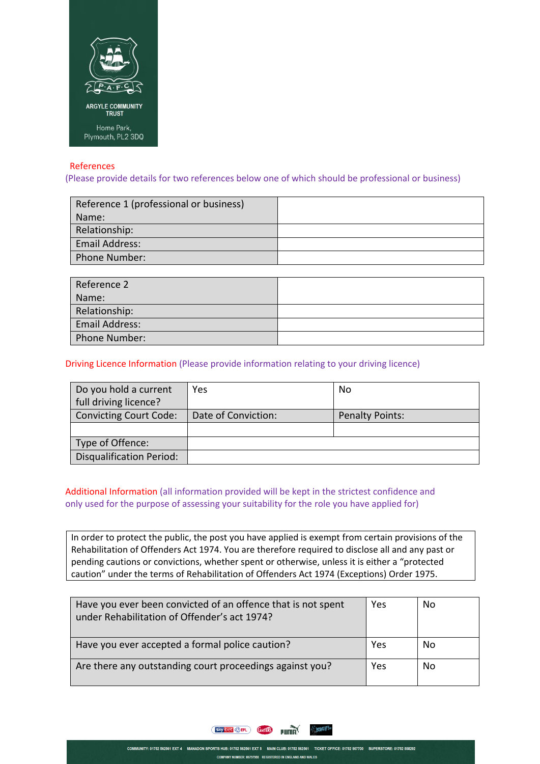

## References

(Please provide details for two references below one of which should be professional or business)

| Reference 1 (professional or business) |  |
|----------------------------------------|--|
| Name:                                  |  |
| Relationship:                          |  |
| Email Address:                         |  |
| Phone Number:                          |  |
|                                        |  |

| Reference 2    |  |
|----------------|--|
| Name:          |  |
| Relationship:  |  |
| Email Address: |  |
| Phone Number:  |  |

Driving Licence Information (Please provide information relating to your driving licence)

| Do you hold a current<br>full driving licence? | Yes                 | No                     |
|------------------------------------------------|---------------------|------------------------|
| <b>Convicting Court Code:</b>                  | Date of Conviction: | <b>Penalty Points:</b> |
|                                                |                     |                        |
| Type of Offence:                               |                     |                        |
| <b>Disqualification Period:</b>                |                     |                        |

## Additional Information (all information provided will be kept in the strictest confidence and only used for the purpose of assessing your suitability for the role you have applied for)

In order to protect the public, the post you have applied is exempt from certain provisions of the Rehabilitation of Offenders Act 1974. You are therefore required to disclose all and any past or pending cautions or convictions, whether spent or otherwise, unless it is either a "protected caution" under the terms of Rehabilitation of Offenders Act 1974 (Exceptions) Order 1975.

| Have you ever been convicted of an offence that is not spent<br>under Rehabilitation of Offender's act 1974? | Yes | No |
|--------------------------------------------------------------------------------------------------------------|-----|----|
| Have you ever accepted a formal police caution?                                                              | Yes | No |
| Are there any outstanding court proceedings against you?                                                     | Yes | Nο |